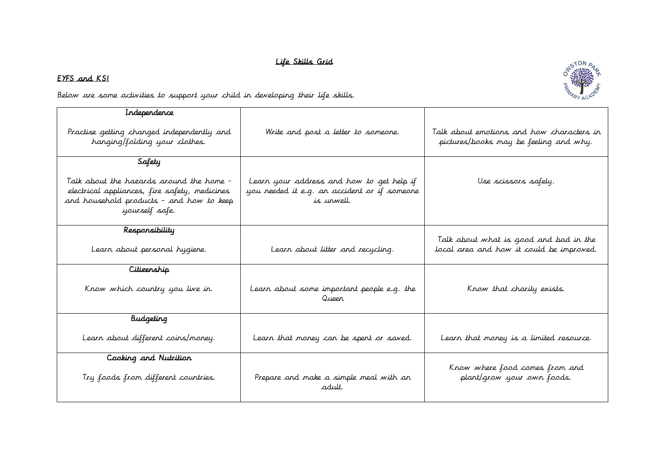## Life Skills Grid

## EYFS and KS1

Below are some activities to support your child in developing their life skills.

| Independence                                                                                                                                            |                                                                                                         |                                                                                     |
|---------------------------------------------------------------------------------------------------------------------------------------------------------|---------------------------------------------------------------------------------------------------------|-------------------------------------------------------------------------------------|
| Practise getting changed independently and<br>hanging/folding your clothes.                                                                             | Write and post a letter to someone.                                                                     | Talk about emotions and how characters in<br>pictures/books may be feeling and why. |
| Safety                                                                                                                                                  |                                                                                                         |                                                                                     |
| Talk about the hazards around the home -<br>electrical appliances, fire safety, medicines<br>and household products - and how to keep<br>yourself safe. | Learn your address and how to get help if<br>you needed it e.g. an accident or if someone<br>is urwell. | Use scissors safely.                                                                |
| Responsibility                                                                                                                                          |                                                                                                         |                                                                                     |
| Learn about personal hygiene.                                                                                                                           | Learn about litter and recycling.                                                                       | Talk about what is good and bad in the<br>local area and how it could be improved.  |
| Citizenship                                                                                                                                             |                                                                                                         |                                                                                     |
| Know which country you live in.                                                                                                                         | Learn about some important people e.g. the<br>Queer                                                     | Know that charity exists.                                                           |
| <b>Budgeting</b>                                                                                                                                        |                                                                                                         |                                                                                     |
| Learn about different coins/money.                                                                                                                      | Learn that money can be spent or saved.                                                                 | Learn that money is a limited resource.                                             |
| Cooking and Nutrition                                                                                                                                   |                                                                                                         |                                                                                     |
| Try foods from different countries.                                                                                                                     | Prepare and make a simple meal with an<br>adult.                                                        | Krow where food comes from and<br>plant/grow your own foods.                        |
|                                                                                                                                                         |                                                                                                         |                                                                                     |